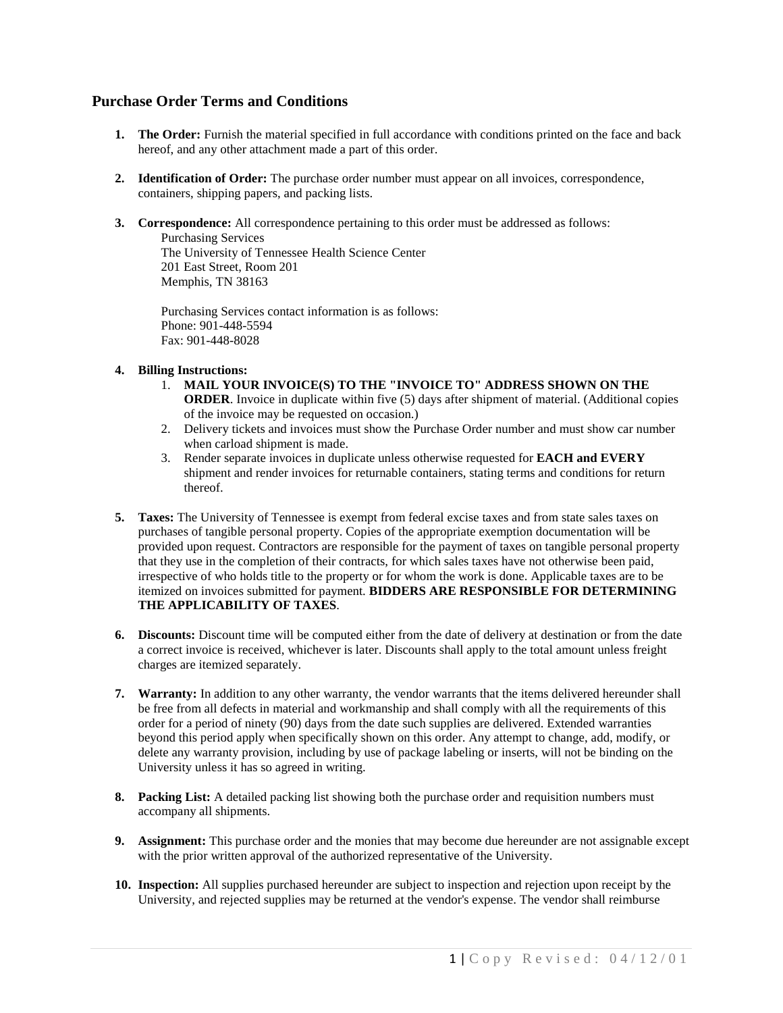## **Purchase Order Terms and Conditions**

- **1. The Order:** Furnish the material specified in full accordance with conditions printed on the face and back hereof, and any other attachment made a part of this order.
- **2. Identification of Order:** The purchase order number must appear on all invoices, correspondence, containers, shipping papers, and packing lists.
- **3. Correspondence:** All correspondence pertaining to this order must be addressed as follows: Purchasing Services The University of Tennessee Health Science Center

201 East Street, Room 201 Memphis, TN 38163

Purchasing Services contact information is as follows: Phone: 901-448-5594 Fax: 901-448-8028

## **4. Billing Instructions:**

- 1. **MAIL YOUR INVOICE(S) TO THE "INVOICE TO" ADDRESS SHOWN ON THE ORDER**. Invoice in duplicate within five (5) days after shipment of material. (Additional copies of the invoice may be requested on occasion.)
- 2. Delivery tickets and invoices must show the Purchase Order number and must show car number when carload shipment is made.
- 3. Render separate invoices in duplicate unless otherwise requested for **EACH and EVERY** shipment and render invoices for returnable containers, stating terms and conditions for return thereof.
- **5. Taxes:** The University of Tennessee is exempt from federal excise taxes and from state sales taxes on purchases of tangible personal property. Copies of the appropriate exemption documentation will be provided upon request. Contractors are responsible for the payment of taxes on tangible personal property that they use in the completion of their contracts, for which sales taxes have not otherwise been paid, irrespective of who holds title to the property or for whom the work is done. Applicable taxes are to be itemized on invoices submitted for payment. **BIDDERS ARE RESPONSIBLE FOR DETERMINING THE APPLICABILITY OF TAXES**.
- **6. Discounts:** Discount time will be computed either from the date of delivery at destination or from the date a correct invoice is received, whichever is later. Discounts shall apply to the total amount unless freight charges are itemized separately.
- **7. Warranty:** In addition to any other warranty, the vendor warrants that the items delivered hereunder shall be free from all defects in material and workmanship and shall comply with all the requirements of this order for a period of ninety (90) days from the date such supplies are delivered. Extended warranties beyond this period apply when specifically shown on this order. Any attempt to change, add, modify, or delete any warranty provision, including by use of package labeling or inserts, will not be binding on the University unless it has so agreed in writing.
- **8. Packing List:** A detailed packing list showing both the purchase order and requisition numbers must accompany all shipments.
- **9. Assignment:** This purchase order and the monies that may become due hereunder are not assignable except with the prior written approval of the authorized representative of the University.
- **10. Inspection:** All supplies purchased hereunder are subject to inspection and rejection upon receipt by the University, and rejected supplies may be returned at the vendor's expense. The vendor shall reimburse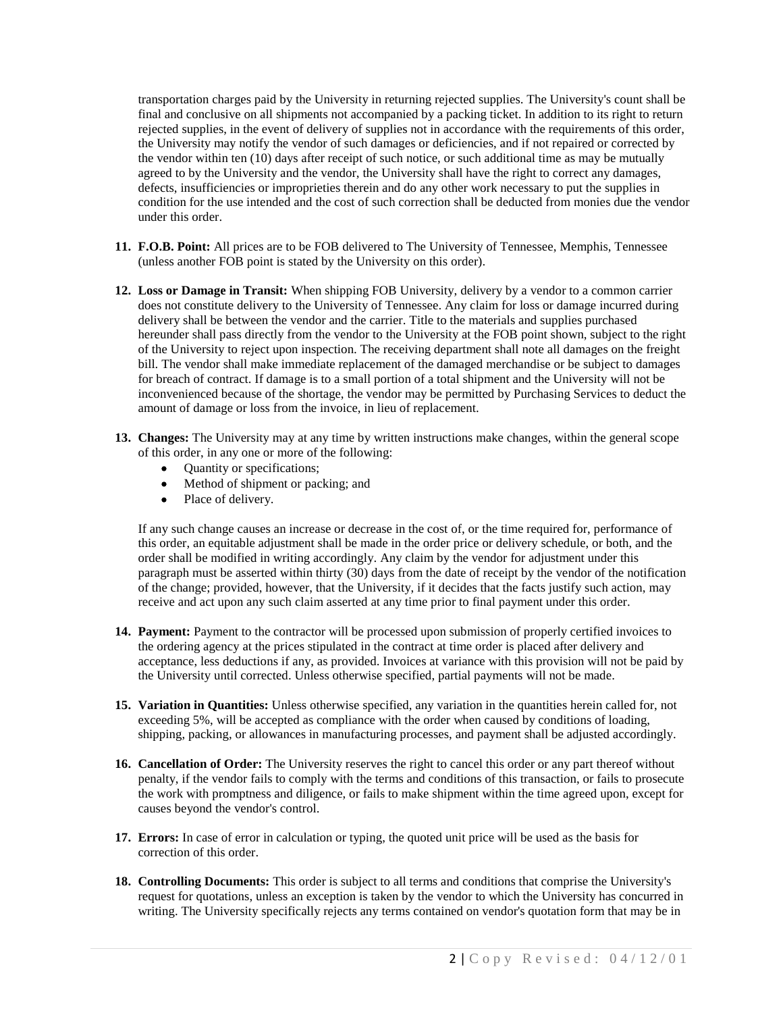transportation charges paid by the University in returning rejected supplies. The University's count shall be final and conclusive on all shipments not accompanied by a packing ticket. In addition to its right to return rejected supplies, in the event of delivery of supplies not in accordance with the requirements of this order, the University may notify the vendor of such damages or deficiencies, and if not repaired or corrected by the vendor within ten (10) days after receipt of such notice, or such additional time as may be mutually agreed to by the University and the vendor, the University shall have the right to correct any damages, defects, insufficiencies or improprieties therein and do any other work necessary to put the supplies in condition for the use intended and the cost of such correction shall be deducted from monies due the vendor under this order.

- **11. F.O.B. Point:** All prices are to be FOB delivered to The University of Tennessee, Memphis, Tennessee (unless another FOB point is stated by the University on this order).
- **12. Loss or Damage in Transit:** When shipping FOB University, delivery by a vendor to a common carrier does not constitute delivery to the University of Tennessee. Any claim for loss or damage incurred during delivery shall be between the vendor and the carrier. Title to the materials and supplies purchased hereunder shall pass directly from the vendor to the University at the FOB point shown, subject to the right of the University to reject upon inspection. The receiving department shall note all damages on the freight bill. The vendor shall make immediate replacement of the damaged merchandise or be subject to damages for breach of contract. If damage is to a small portion of a total shipment and the University will not be inconvenienced because of the shortage, the vendor may be permitted by Purchasing Services to deduct the amount of damage or loss from the invoice, in lieu of replacement.
- **13. Changes:** The University may at any time by written instructions make changes, within the general scope of this order, in any one or more of the following:
	- Ouantity or specifications;
	- Method of shipment or packing; and
	- Place of delivery.

If any such change causes an increase or decrease in the cost of, or the time required for, performance of this order, an equitable adjustment shall be made in the order price or delivery schedule, or both, and the order shall be modified in writing accordingly. Any claim by the vendor for adjustment under this paragraph must be asserted within thirty (30) days from the date of receipt by the vendor of the notification of the change; provided, however, that the University, if it decides that the facts justify such action, may receive and act upon any such claim asserted at any time prior to final payment under this order.

- **14. Payment:** Payment to the contractor will be processed upon submission of properly certified invoices to the ordering agency at the prices stipulated in the contract at time order is placed after delivery and acceptance, less deductions if any, as provided. Invoices at variance with this provision will not be paid by the University until corrected. Unless otherwise specified, partial payments will not be made.
- **15. Variation in Quantities:** Unless otherwise specified, any variation in the quantities herein called for, not exceeding 5%, will be accepted as compliance with the order when caused by conditions of loading, shipping, packing, or allowances in manufacturing processes, and payment shall be adjusted accordingly.
- **16. Cancellation of Order:** The University reserves the right to cancel this order or any part thereof without penalty, if the vendor fails to comply with the terms and conditions of this transaction, or fails to prosecute the work with promptness and diligence, or fails to make shipment within the time agreed upon, except for causes beyond the vendor's control.
- **17. Errors:** In case of error in calculation or typing, the quoted unit price will be used as the basis for correction of this order.
- **18. Controlling Documents:** This order is subject to all terms and conditions that comprise the University's request for quotations, unless an exception is taken by the vendor to which the University has concurred in writing. The University specifically rejects any terms contained on vendor's quotation form that may be in